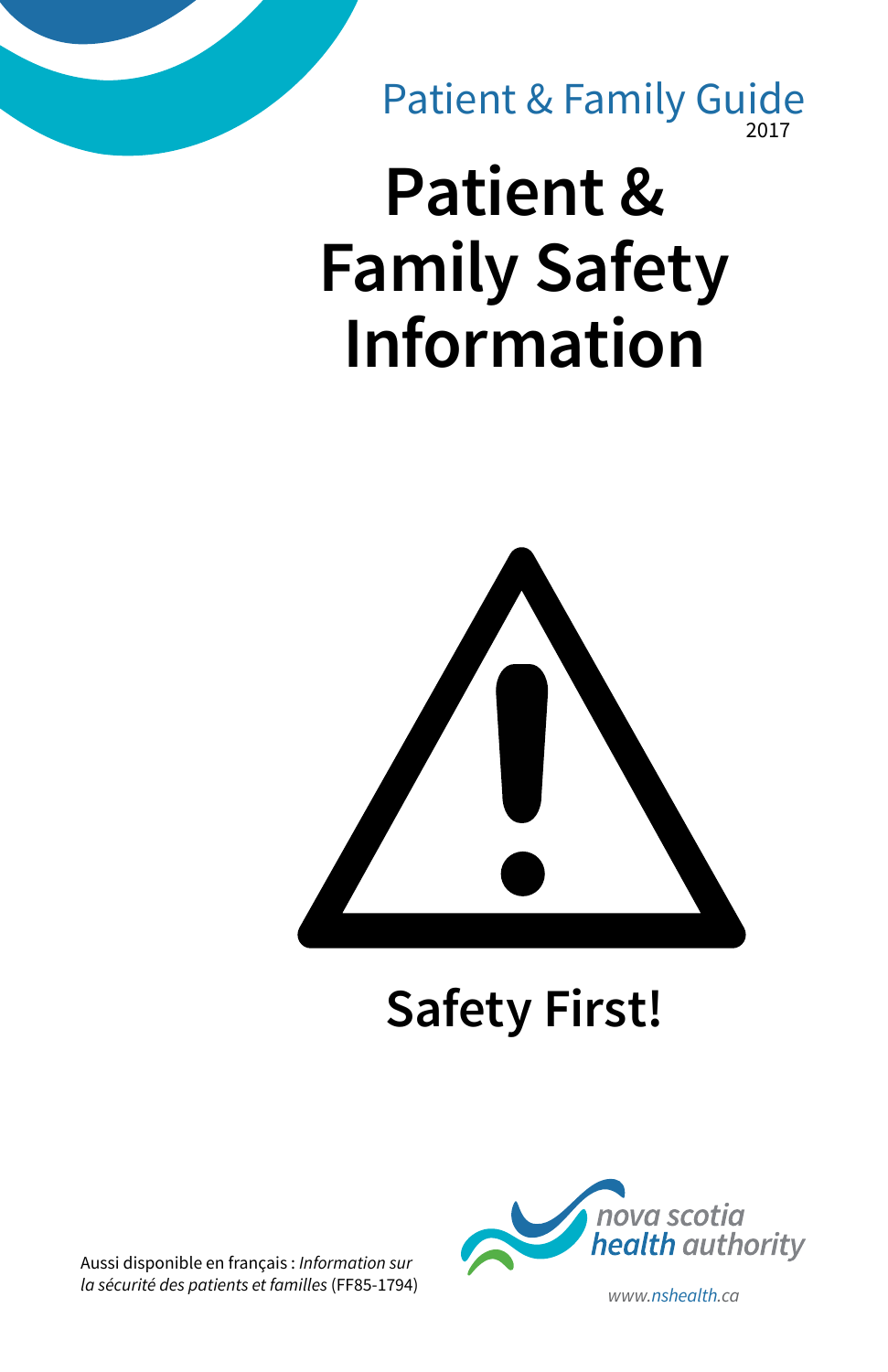2017 Patient & Family Guide

# **Patient & Family Safety Information**



# **Safety First!**

Aussi disponible en français : *Information sur la sécurité des patients et familles* (FF85-1794) *www.nshealth.ca*

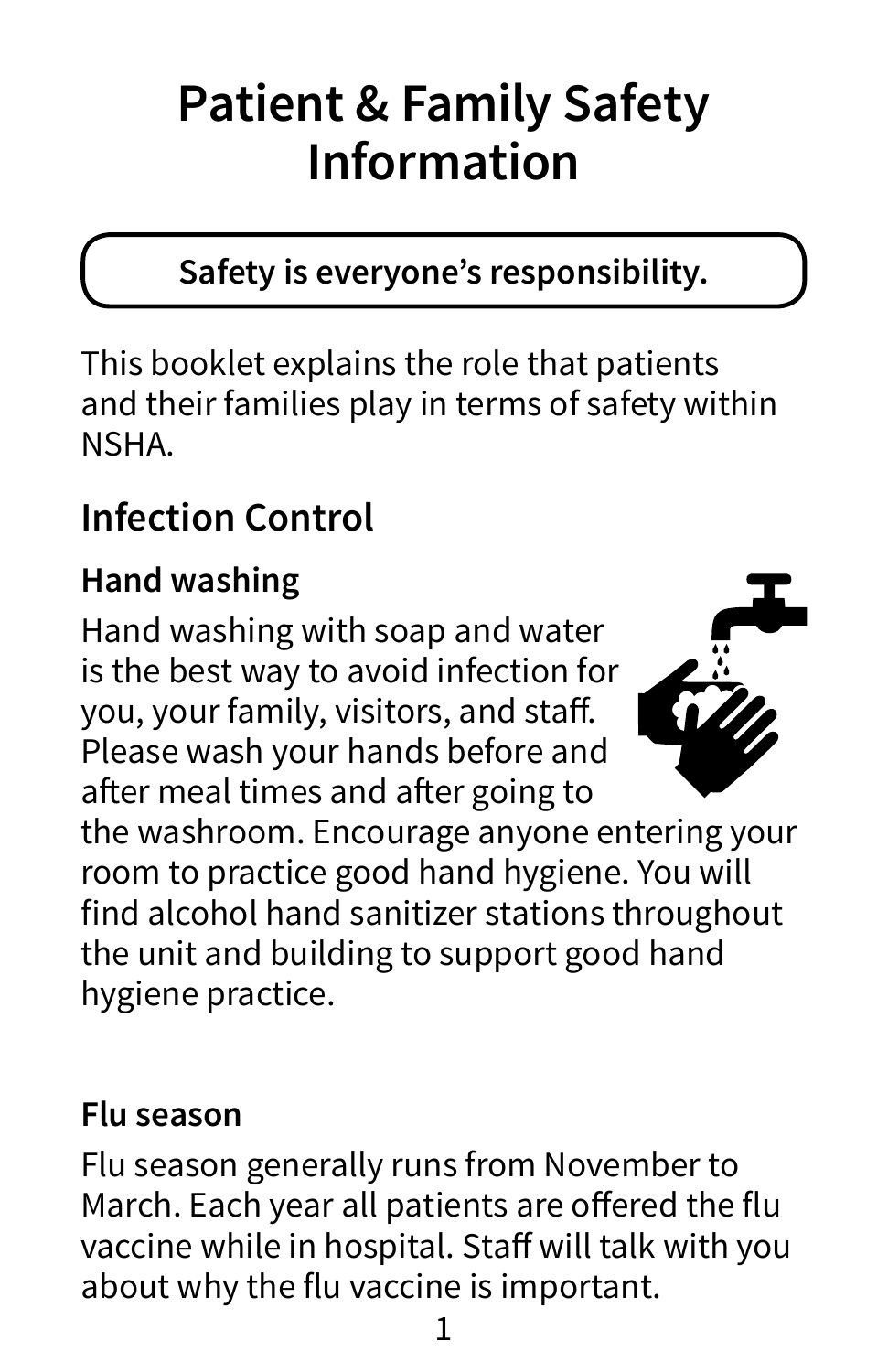# **Patient & Family Safety Information**

#### **Safety is everyone's responsibility.**

This booklet explains the role that patients and their families play in terms of safety within NSHA.

# **Infection Control**

### **Hand washing**

Hand washing with soap and water is the best way to avoid infection for you, your family, visitors, and staff. Please wash your hands before and after meal times and after going to



the washroom. Encourage anyone entering your room to practice good hand hygiene. You will find alcohol hand sanitizer stations throughout the unit and building to support good hand hygiene practice.

#### **Flu season**

Flu season generally runs from November to March. Each year all patients are offered the flu vaccine while in hospital. Staff will talk with you about why the flu vaccine is important.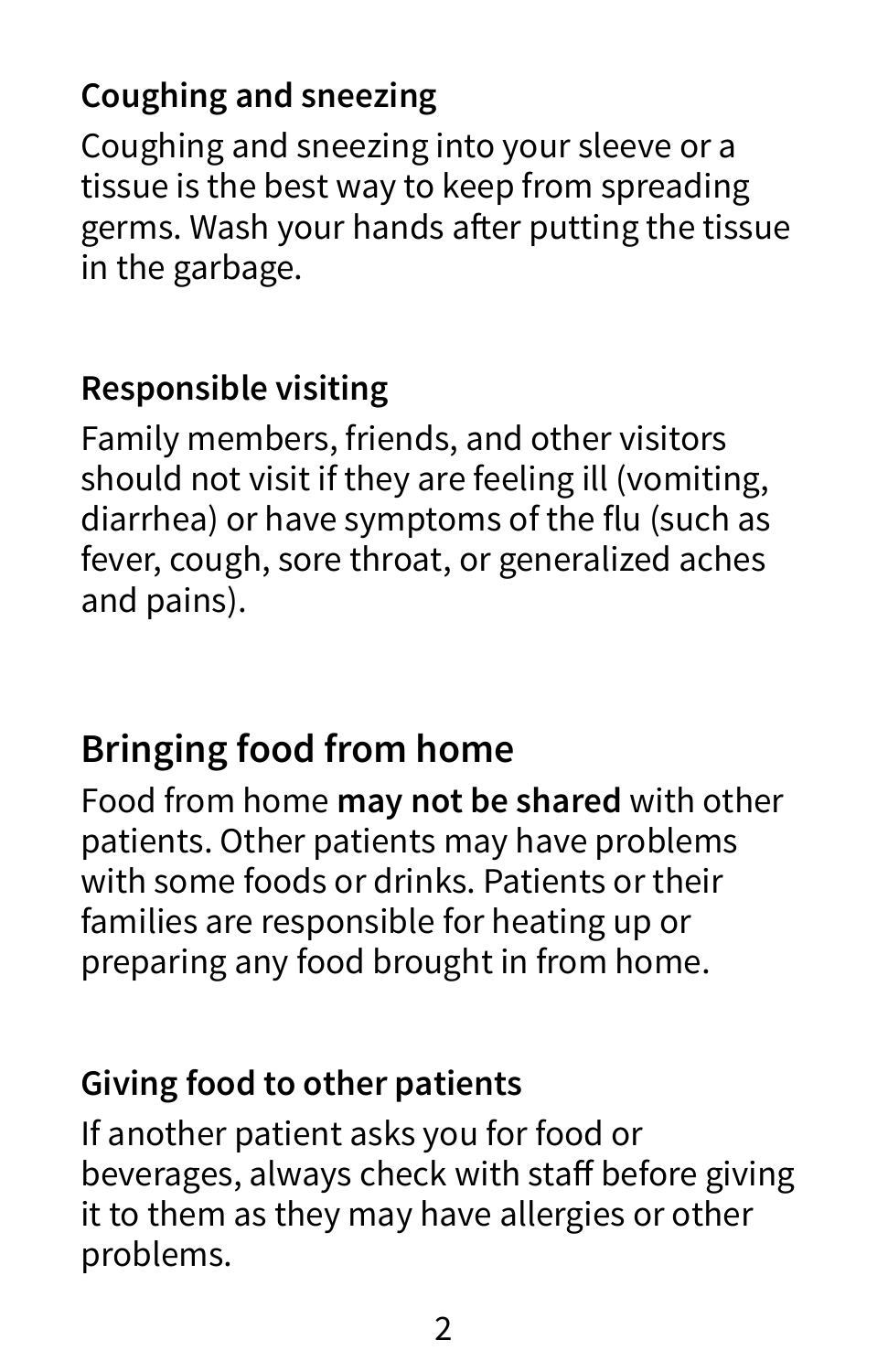#### **Coughing and sneezing**

Coughing and sneezing into your sleeve or a tissue is the best way to keep from spreading germs. Wash your hands after putting the tissue in the garbage.

#### **Responsible visiting**

Family members, friends, and other visitors should not visit if they are feeling ill (vomiting, diarrhea) or have symptoms of the flu (such as fever, cough, sore throat, or generalized aches and pains).

# **Bringing food from home**

Food from home **may not be shared** with other patients. Other patients may have problems with some foods or drinks. Patients or their families are responsible for heating up or preparing any food brought in from home.

#### **Giving food to other patients**

If another patient asks you for food or beverages, always check with staff before giving it to them as they may have allergies or other problems.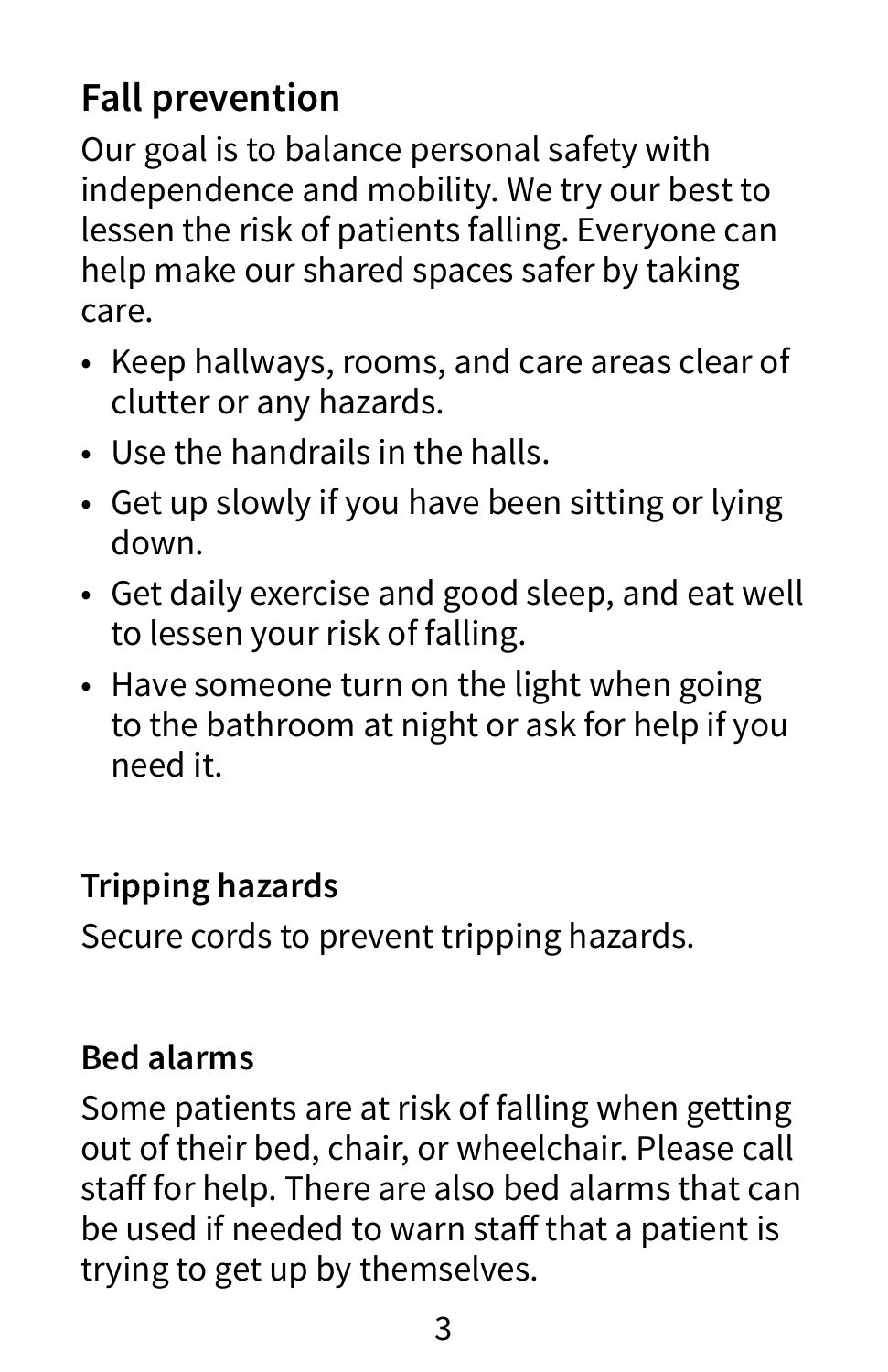# **Fall prevention**

Our goal is to balance personal safety with independence and mobility. We try our best to lessen the risk of patients falling. Everyone can help make our shared spaces safer by taking care.

- Keep hallways, rooms, and care areas clear of clutter or any hazards.
- Use the handrails in the halls.
- Get up slowly if you have been sitting or lying down.
- Get daily exercise and good sleep, and eat well to lessen your risk of falling.
- Have someone turn on the light when going to the bathroom at night or ask for help if you need it.

#### **Tripping hazards**

Secure cords to prevent tripping hazards.

#### **Bed alarms**

Some patients are at risk of falling when getting out of their bed, chair, or wheelchair. Please call staff for help. There are also bed alarms that can be used if needed to warn staff that a patient is trying to get up by themselves.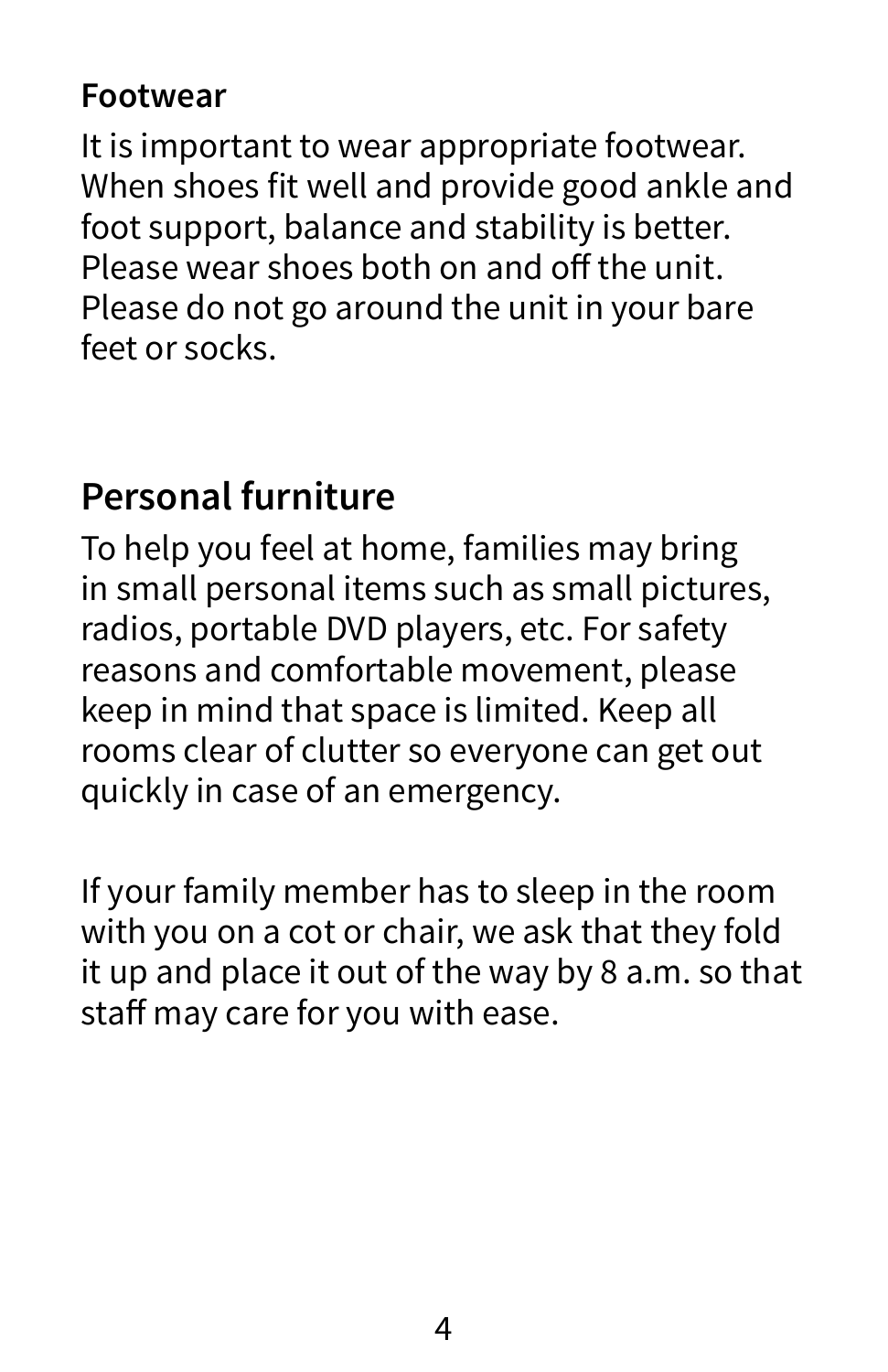#### **Footwear**

It is important to wear appropriate footwear. When shoes fit well and provide good ankle and foot support, balance and stability is better. Please wear shoes both on and off the unit. Please do not go around the unit in your bare feet or socks.

#### **Personal furniture**

To help you feel at home, families may bring in small personal items such as small pictures, radios, portable DVD players, etc. For safety reasons and comfortable movement, please keep in mind that space is limited. Keep all rooms clear of clutter so everyone can get out quickly in case of an emergency.

If your family member has to sleep in the room with you on a cot or chair, we ask that they fold it up and place it out of the way by 8 a.m. so that staff may care for you with ease.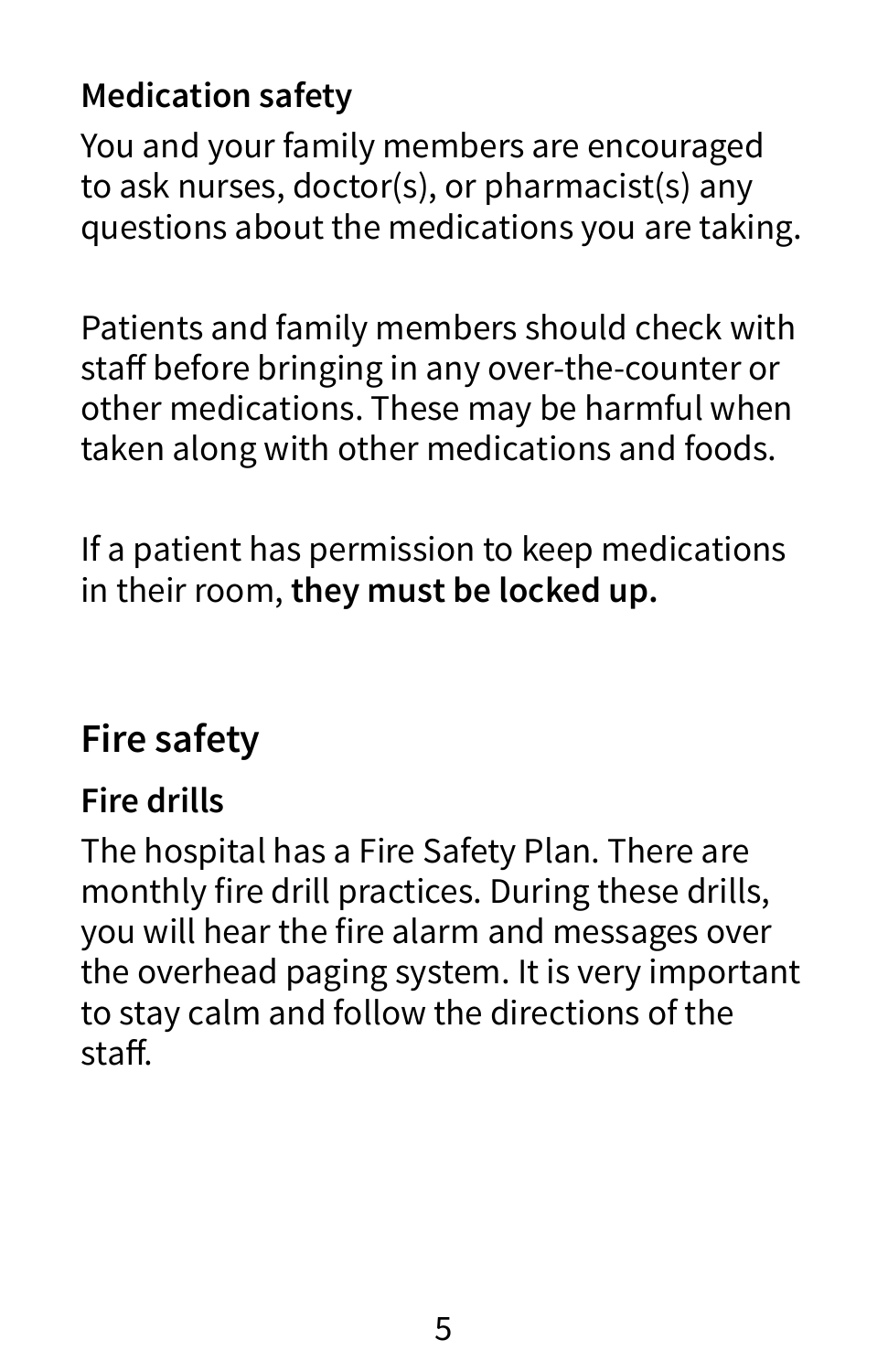#### **Medication safety**

You and your family members are encouraged to ask nurses, doctor(s), or pharmacist(s) any questions about the medications you are taking.

Patients and family members should check with staff before bringing in any over-the-counter or other medications. These may be harmful when taken along with other medications and foods.

If a patient has permission to keep medications in their room, **they must be locked up.** 

# **Fire safety**

#### **Fire drills**

The hospital has a Fire Safety Plan. There are monthly fire drill practices. During these drills, you will hear the fire alarm and messages over the overhead paging system. It is very important to stay calm and follow the directions of the staff.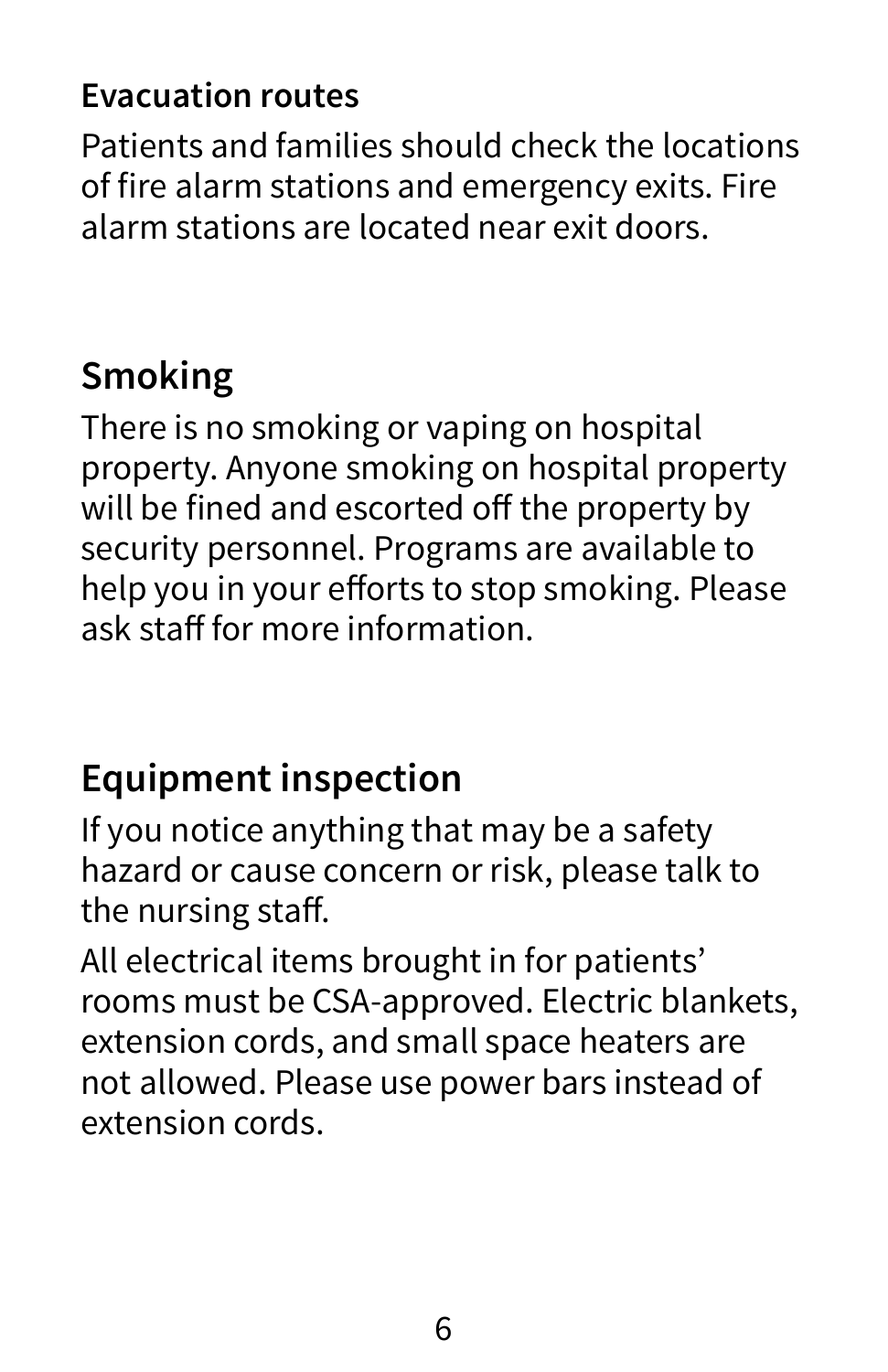#### **Evacuation routes**

Patients and families should check the locations of fire alarm stations and emergency exits. Fire alarm stations are located near exit doors.

# **Smoking**

There is no smoking or vaping on hospital property. Anyone smoking on hospital property will be fined and escorted off the property by security personnel. Programs are available to help you in your efforts to stop smoking. Please ask staff for more information.

# **Equipment inspection**

If you notice anything that may be a safety hazard or cause concern or risk, please talk to the nursing staff.

All electrical items brought in for patients' rooms must be CSA-approved. Electric blankets, extension cords, and small space heaters are not allowed. Please use power bars instead of extension cords.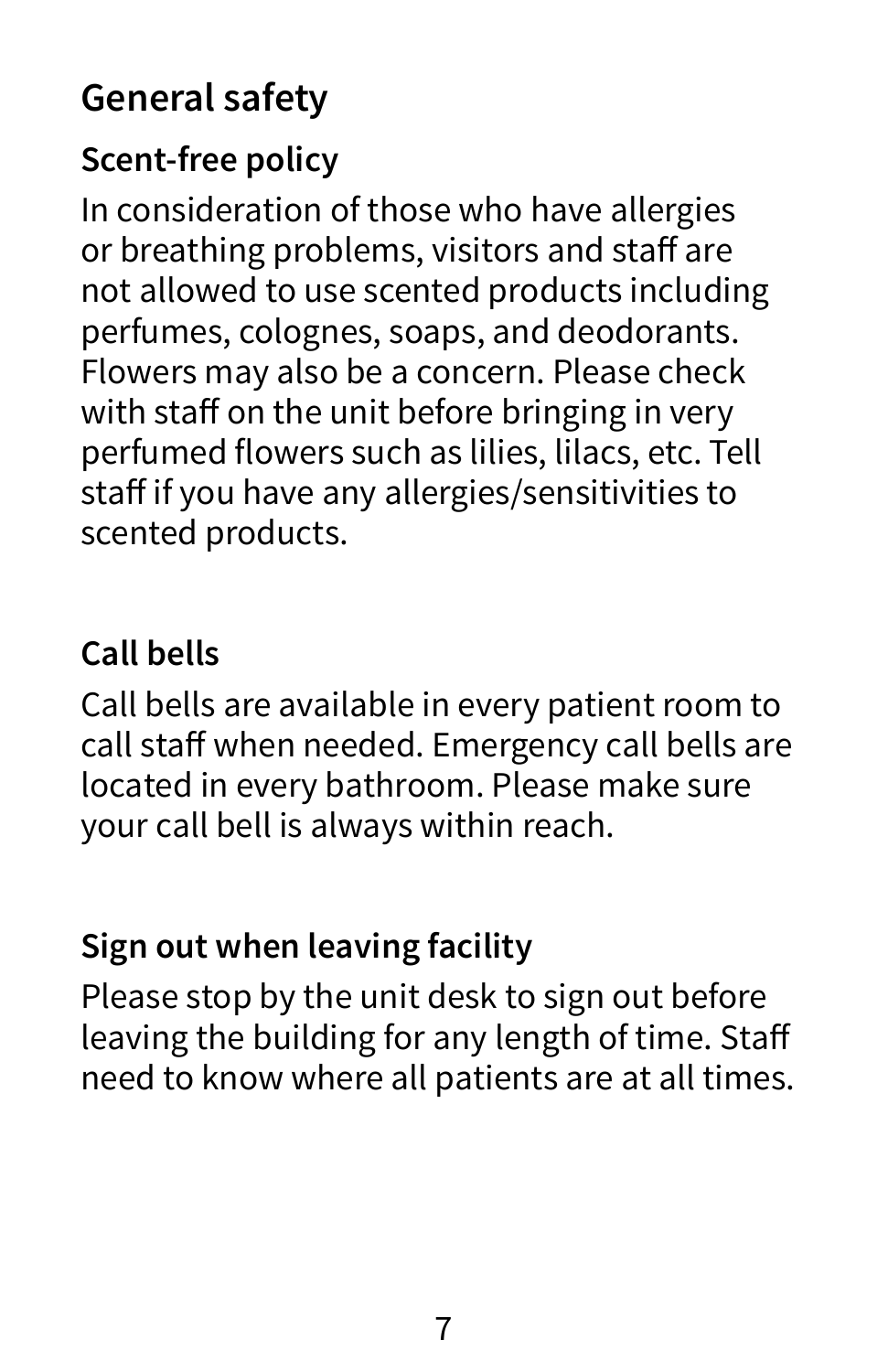# **General safety**

#### **Scent-free policy**

In consideration of those who have allergies or breathing problems, visitors and staff are not allowed to use scented products including perfumes, colognes, soaps, and deodorants. Flowers may also be a concern. Please check with staff on the unit before bringing in very perfumed flowers such as lilies, lilacs, etc. Tell staff if you have any allergies/sensitivities to scented products.

#### **Call bells**

Call bells are available in every patient room to call staff when needed. Emergency call bells are located in every bathroom. Please make sure your call bell is always within reach.

#### **Sign out when leaving facility**

Please stop by the unit desk to sign out before leaving the building for any length of time. Staff need to know where all patients are at all times.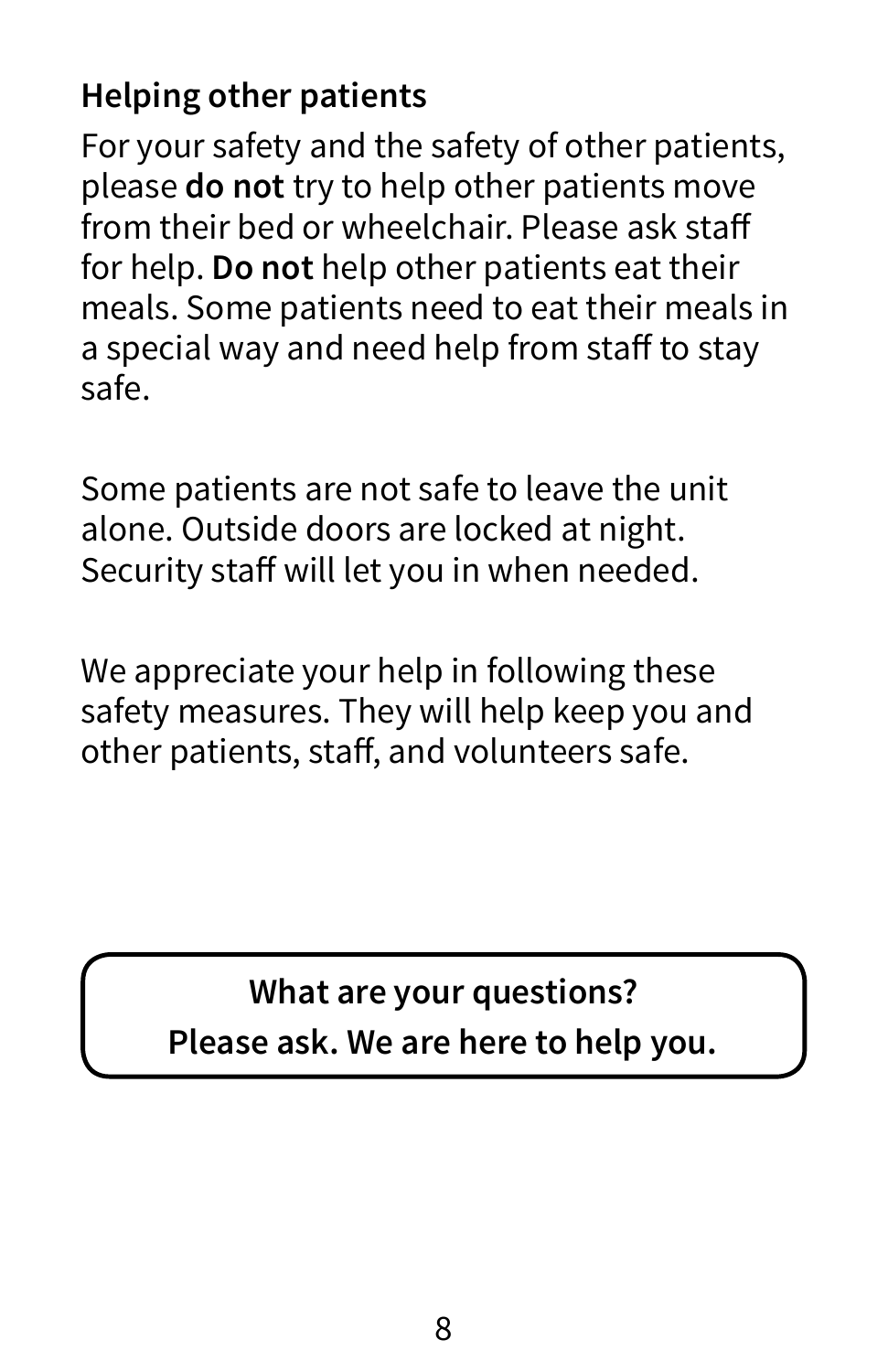#### **Helping other patients**

For your safety and the safety of other patients, please **do not** try to help other patients move from their bed or wheelchair. Please ask staff for help. **Do not** help other patients eat their meals. Some patients need to eat their meals in a special way and need help from staff to stay safe.

Some patients are not safe to leave the unit alone. Outside doors are locked at night. Security staff will let you in when needed.

We appreciate your help in following these safety measures. They will help keep you and other patients, staff, and volunteers safe.

**What are your questions?** 

**Please ask. We are here to help you.**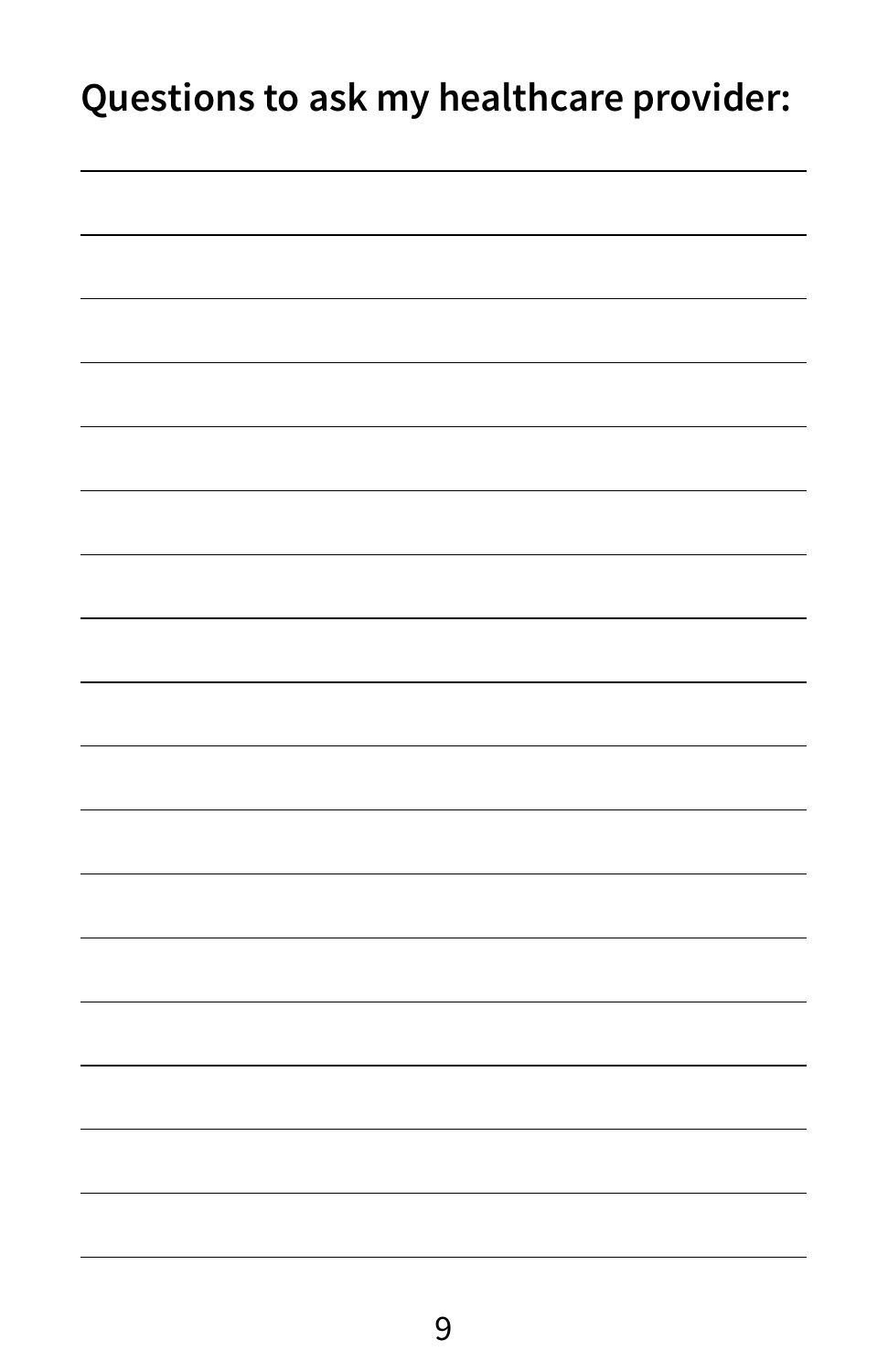# **Questions to ask my healthcare provider:**